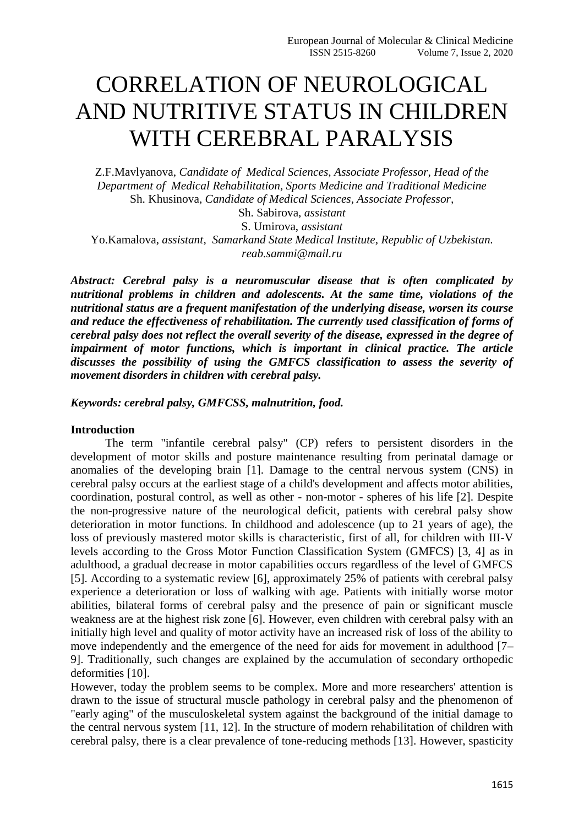## CORRELATION OF NEUROLOGICAL AND NUTRITIVE STATUS IN CHILDREN WITH CEREBRAL PARALYSIS

Z.F.Mavlyanova, *Candidate of Medical Sciences, Associate Professor, Head of the Department of Medical Rehabilitation, Sports Medicine and Traditional Medicine* Sh. Khusinova, *Candidate of Medical Sciences, Associate Professor,*

Sh. Sabirova, *assistant* S. Umirova, *assistant* Yo.Kamalova, *assistant, Samarkand State Medical Institute, Republic of Uzbekistan. reab.sammi@mail.ru*

*Abstract: Cerebral palsy is a neuromuscular disease that is often complicated by nutritional problems in children and adolescents. At the same time, violations of the nutritional status are a frequent manifestation of the underlying disease, worsen its course and reduce the effectiveness of rehabilitation. The currently used classification of forms of cerebral palsy does not reflect the overall severity of the disease, expressed in the degree of impairment of motor functions, which is important in clinical practice. The article discusses the possibility of using the GMFCS classification to assess the severity of movement disorders in children with cerebral palsy.*

*Keywords: cerebral palsy, GMFCSS, malnutrition, food.*

## **Introduction**

The term "infantile cerebral palsy" (CP) refers to persistent disorders in the development of motor skills and posture maintenance resulting from perinatal damage or anomalies of the developing brain [1]. Damage to the central nervous system (CNS) in cerebral palsy occurs at the earliest stage of a child's development and affects motor abilities, coordination, postural control, as well as other - non-motor - spheres of his life [2]. Despite the non-progressive nature of the neurological deficit, patients with cerebral palsy show deterioration in motor functions. In childhood and adolescence (up to 21 years of age), the loss of previously mastered motor skills is characteristic, first of all, for children with III-V levels according to the Gross Motor Function Classification System (GMFCS) [3, 4] as in adulthood, a gradual decrease in motor capabilities occurs regardless of the level of GMFCS [5]. According to a systematic review [6], approximately 25% of patients with cerebral palsy experience a deterioration or loss of walking with age. Patients with initially worse motor abilities, bilateral forms of cerebral palsy and the presence of pain or significant muscle weakness are at the highest risk zone [6]. However, even children with cerebral palsy with an initially high level and quality of motor activity have an increased risk of loss of the ability to move independently and the emergence of the need for aids for movement in adulthood [7– 9]. Traditionally, such changes are explained by the accumulation of secondary orthopedic deformities [10].

However, today the problem seems to be complex. More and more researchers' attention is drawn to the issue of structural muscle pathology in cerebral palsy and the phenomenon of "early aging" of the musculoskeletal system against the background of the initial damage to the central nervous system [11, 12]. In the structure of modern rehabilitation of children with cerebral palsy, there is a clear prevalence of tone-reducing methods [13]. However, spasticity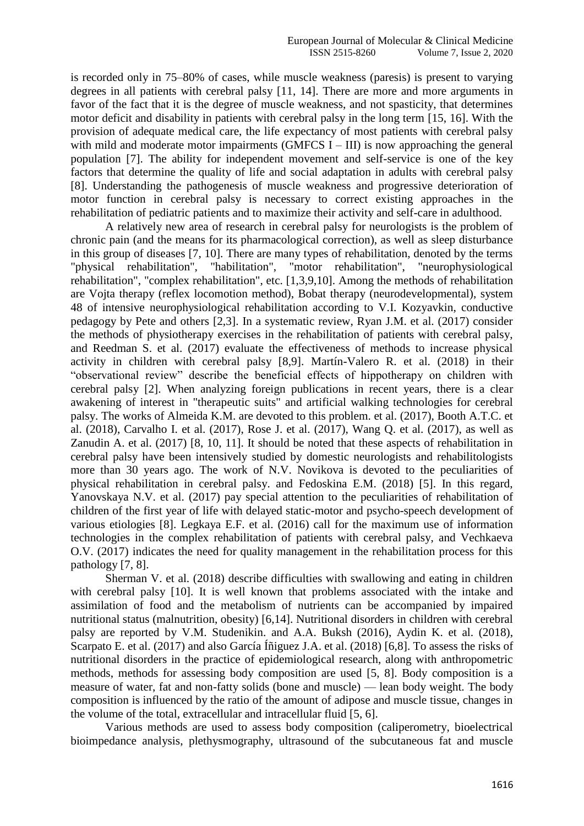is recorded only in 75–80% of cases, while muscle weakness (paresis) is present to varying degrees in all patients with cerebral palsy [11, 14]. There are more and more arguments in favor of the fact that it is the degree of muscle weakness, and not spasticity, that determines motor deficit and disability in patients with cerebral palsy in the long term [15, 16]. With the provision of adequate medical care, the life expectancy of most patients with cerebral palsy with mild and moderate motor impairments (GMFCS  $I - III$ ) is now approaching the general population [7]. The ability for independent movement and self-service is one of the key factors that determine the quality of life and social adaptation in adults with cerebral palsy [8]. Understanding the pathogenesis of muscle weakness and progressive deterioration of motor function in cerebral palsy is necessary to correct existing approaches in the rehabilitation of pediatric patients and to maximize their activity and self-care in adulthood.

A relatively new area of research in cerebral palsy for neurologists is the problem of chronic pain (and the means for its pharmacological correction), as well as sleep disturbance in this group of diseases [7, 10]. There are many types of rehabilitation, denoted by the terms "physical rehabilitation", "habilitation", "motor rehabilitation", "neurophysiological rehabilitation", "complex rehabilitation", etc. [1,3,9,10]. Among the methods of rehabilitation are Vojta therapy (reflex locomotion method), Bobat therapy (neurodevelopmental), system 48 of intensive neurophysiological rehabilitation according to V.I. Kozyavkin, conductive pedagogy by Pete and others [2,3]. In a systematic review, Ryan J.M. et al. (2017) consider the methods of physiotherapy exercises in the rehabilitation of patients with cerebral palsy, and Reedman S. et al. (2017) evaluate the effectiveness of methods to increase physical activity in children with cerebral palsy [8,9]. Martín-Valero R. et al. (2018) in their "observational review" describe the beneficial effects of hippotherapy on children with cerebral palsy [2]. When analyzing foreign publications in recent years, there is a clear awakening of interest in "therapeutic suits" and artificial walking technologies for cerebral palsy. The works of Almeida K.M. are devoted to this problem. et al. (2017), Booth A.T.C. et al. (2018), Carvalho I. et al. (2017), Rose J. et al. (2017), Wang Q. et al. (2017), as well as Zanudin A. et al. (2017) [8, 10, 11]. It should be noted that these aspects of rehabilitation in cerebral palsy have been intensively studied by domestic neurologists and rehabilitologists more than 30 years ago. The work of N.V. Novikova is devoted to the peculiarities of physical rehabilitation in cerebral palsy. and Fedoskina E.M. (2018) [5]. In this regard, Yanovskaya N.V. et al. (2017) pay special attention to the peculiarities of rehabilitation of children of the first year of life with delayed static-motor and psycho-speech development of various etiologies [8]. Legkaya E.F. et al. (2016) call for the maximum use of information technologies in the complex rehabilitation of patients with cerebral palsy, and Vechkaeva O.V. (2017) indicates the need for quality management in the rehabilitation process for this pathology [7, 8].

Sherman V. et al. (2018) describe difficulties with swallowing and eating in children with cerebral palsy [10]. It is well known that problems associated with the intake and assimilation of food and the metabolism of nutrients can be accompanied by impaired nutritional status (malnutrition, obesity) [6,14]. Nutritional disorders in children with cerebral palsy are reported by V.M. Studenikin. and A.A. Buksh (2016), Aydin K. et al. (2018), Scarpato E. et al. (2017) and also García Íñiguez J.A. et al. (2018) [6,8]. To assess the risks of nutritional disorders in the practice of epidemiological research, along with anthropometric methods, methods for assessing body composition are used [5, 8]. Body composition is a measure of water, fat and non-fatty solids (bone and muscle) — lean body weight. The body composition is influenced by the ratio of the amount of adipose and muscle tissue, changes in the volume of the total, extracellular and intracellular fluid [5, 6].

Various methods are used to assess body composition (caliperometry, bioelectrical bioimpedance analysis, plethysmography, ultrasound of the subcutaneous fat and muscle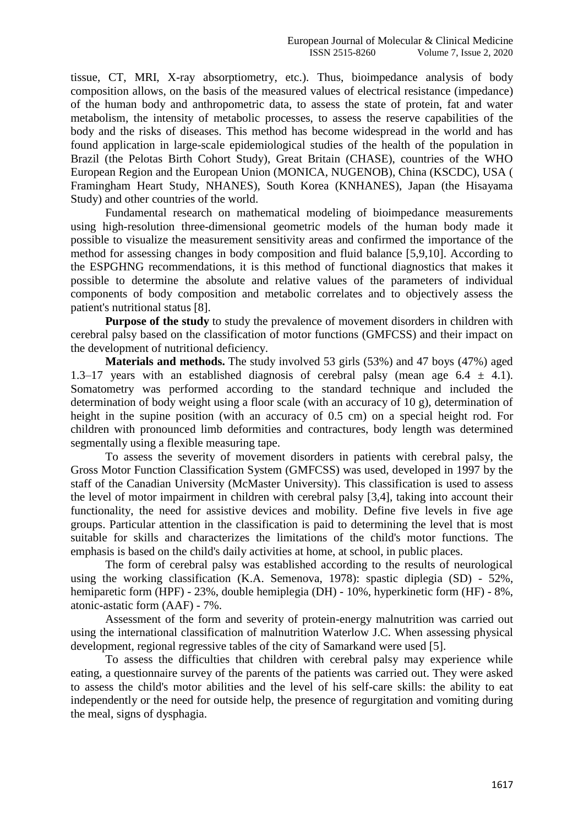tissue, CT, MRI, X-ray absorptiometry, etc.). Thus, bioimpedance analysis of body composition allows, on the basis of the measured values of electrical resistance (impedance) of the human body and anthropometric data, to assess the state of protein, fat and water metabolism, the intensity of metabolic processes, to assess the reserve capabilities of the body and the risks of diseases. This method has become widespread in the world and has found application in large-scale epidemiological studies of the health of the population in Brazil (the Pelotas Birth Cohort Study), Great Britain (CHASE), countries of the WHO European Region and the European Union (MONICA, NUGENOB), China (KSCDC), USA ( Framingham Heart Study, NHANES), South Korea (KNHANES), Japan (the Hisayama Study) and other countries of the world.

Fundamental research on mathematical modeling of bioimpedance measurements using high-resolution three-dimensional geometric models of the human body made it possible to visualize the measurement sensitivity areas and confirmed the importance of the method for assessing changes in body composition and fluid balance [5,9,10]. According to the ESPGHNG recommendations, it is this method of functional diagnostics that makes it possible to determine the absolute and relative values of the parameters of individual components of body composition and metabolic correlates and to objectively assess the patient's nutritional status [8].

**Purpose of the study** to study the prevalence of movement disorders in children with cerebral palsy based on the classification of motor functions (GMFCSS) and their impact on the development of nutritional deficiency.

**Materials and methods.** The study involved 53 girls (53%) and 47 boys (47%) aged 1.3–17 years with an established diagnosis of cerebral palsy (mean age  $6.4 \pm 4.1$ ). Somatometry was performed according to the standard technique and included the determination of body weight using a floor scale (with an accuracy of 10 g), determination of height in the supine position (with an accuracy of 0.5 cm) on a special height rod. For children with pronounced limb deformities and contractures, body length was determined segmentally using a flexible measuring tape.

To assess the severity of movement disorders in patients with cerebral palsy, the Gross Motor Function Classification System (GMFCSS) was used, developed in 1997 by the staff of the Canadian University (McMaster University). This classification is used to assess the level of motor impairment in children with cerebral palsy [3,4], taking into account their functionality, the need for assistive devices and mobility. Define five levels in five age groups. Particular attention in the classification is paid to determining the level that is most suitable for skills and characterizes the limitations of the child's motor functions. The emphasis is based on the child's daily activities at home, at school, in public places.

The form of cerebral palsy was established according to the results of neurological using the working classification (K.A. Semenova, 1978): spastic diplegia (SD) - 52%, hemiparetic form (HPF) - 23%, double hemiplegia (DH) - 10%, hyperkinetic form (HF) - 8%, atonic-astatic form (AAF) - 7%.

Assessment of the form and severity of protein-energy malnutrition was carried out using the international classification of malnutrition Waterlow J.C. When assessing physical development, regional regressive tables of the city of Samarkand were used [5].

To assess the difficulties that children with cerebral palsy may experience while eating, a questionnaire survey of the parents of the patients was carried out. They were asked to assess the child's motor abilities and the level of his self-care skills: the ability to eat independently or the need for outside help, the presence of regurgitation and vomiting during the meal, signs of dysphagia.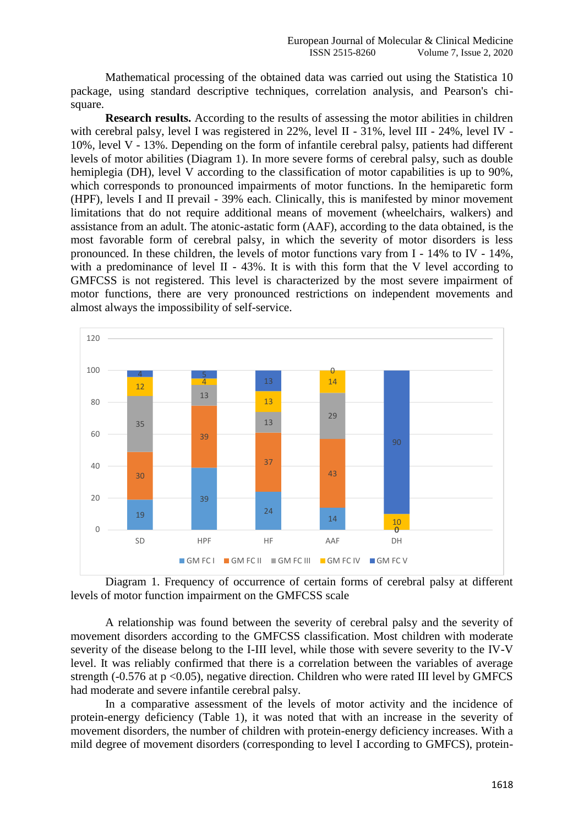Mathematical processing of the obtained data was carried out using the Statistica 10 package, using standard descriptive techniques, correlation analysis, and Pearson's chisquare.

**Research results.** According to the results of assessing the motor abilities in children with cerebral palsy, level I was registered in 22%, level II - 31%, level III - 24%, level IV - 10%, level V - 13%. Depending on the form of infantile cerebral palsy, patients had different levels of motor abilities (Diagram 1). In more severe forms of cerebral palsy, such as double hemiplegia (DH), level V according to the classification of motor capabilities is up to 90%, which corresponds to pronounced impairments of motor functions. In the hemiparetic form (HPF), levels I and II prevail - 39% each. Clinically, this is manifested by minor movement limitations that do not require additional means of movement (wheelchairs, walkers) and assistance from an adult. The atonic-astatic form (AAF), according to the data obtained, is the most favorable form of cerebral palsy, in which the severity of motor disorders is less pronounced. In these children, the levels of motor functions vary from  $I - 14\%$  to IV -  $14\%$ . with a predominance of level II - 43%. It is with this form that the V level according to GMFCSS is not registered. This level is characterized by the most severe impairment of motor functions, there are very pronounced restrictions on independent movements and almost always the impossibility of self-service.



Diagram 1. Frequency of occurrence of certain forms of cerebral palsy at different levels of motor function impairment on the GMFCSS scale

A relationship was found between the severity of cerebral palsy and the severity of movement disorders according to the GMFCSS classification. Most children with moderate severity of the disease belong to the I-III level, while those with severe severity to the IV-V level. It was reliably confirmed that there is a correlation between the variables of average strength (-0.576 at  $p \le 0.05$ ), negative direction. Children who were rated III level by GMFCS had moderate and severe infantile cerebral palsy.

In a comparative assessment of the levels of motor activity and the incidence of protein-energy deficiency (Table 1), it was noted that with an increase in the severity of movement disorders, the number of children with protein-energy deficiency increases. With a mild degree of movement disorders (corresponding to level I according to GMFCS), protein-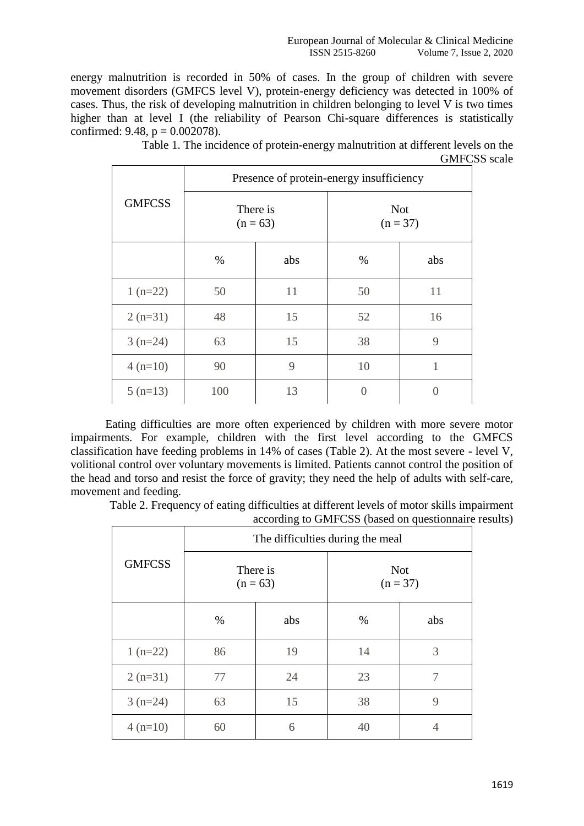energy malnutrition is recorded in 50% of cases. In the group of children with severe movement disorders (GMFCS level V), protein-energy deficiency was detected in 100% of cases. Thus, the risk of developing malnutrition in children belonging to level V is two times higher than at level I (the reliability of Pearson Chi-square differences is statistically confirmed: 9.48,  $p = 0.002078$ ).

| <b>GMFCSS</b> | Presence of protein-energy insufficiency |     |                          |               |  |
|---------------|------------------------------------------|-----|--------------------------|---------------|--|
|               | There is<br>$(n = 63)$                   |     | <b>Not</b><br>$(n = 37)$ |               |  |
|               | $\%$                                     | abs | %                        | abs           |  |
| $1(n=22)$     | 50                                       | 11  | 50                       | 11            |  |
| $2(n=31)$     | 48                                       | 15  | 52                       | 16            |  |
| $3(n=24)$     | 63                                       | 15  | 38                       | 9             |  |
| $4(n=10)$     | 90                                       | 9   | 10                       | 1             |  |
| $5(n=13)$     | 100                                      | 13  | 0                        | $\mathcal{O}$ |  |

Table 1. The incidence of protein-energy malnutrition at different levels on the GMFCSS scale

Eating difficulties are more often experienced by children with more severe motor impairments. For example, children with the first level according to the GMFCS classification have feeding problems in 14% of cases (Table 2). At the most severe - level V, volitional control over voluntary movements is limited. Patients cannot control the position of the head and torso and resist the force of gravity; they need the help of adults with self-care, movement and feeding.

Table 2. Frequency of eating difficulties at different levels of motor skills impairment according to GMFCSS (based on questionnaire results)

| <b>GMFCSS</b> | The difficulties during the meal |     |                          |     |  |
|---------------|----------------------------------|-----|--------------------------|-----|--|
|               | There is<br>$(n = 63)$           |     | <b>Not</b><br>$(n = 37)$ |     |  |
|               | $\%$                             | abs | $\%$                     | abs |  |
| $1(n=22)$     | 86                               | 19  | 14                       | 3   |  |
| $2(n=31)$     | 77                               | 24  | 23                       | 7   |  |
| $3(n=24)$     | 63                               | 15  | 38                       | 9   |  |
| $4(n=10)$     | 60                               | 6   | 40                       |     |  |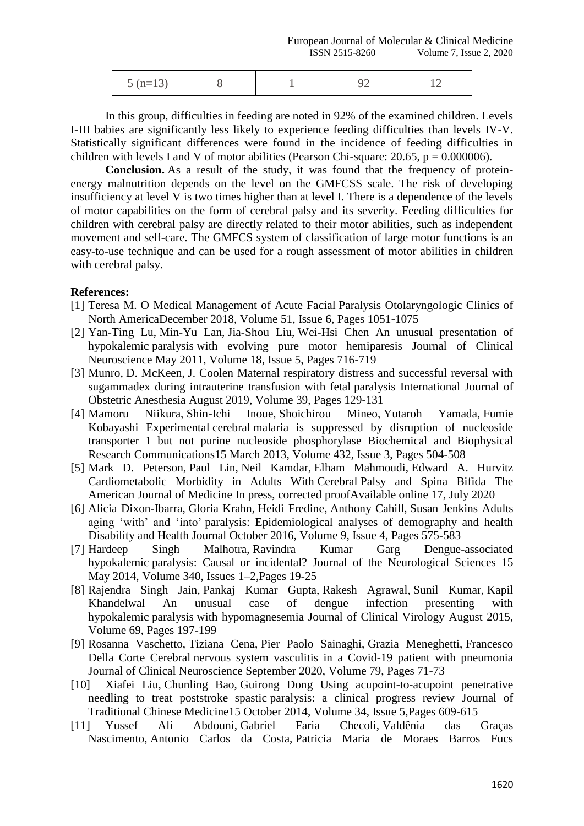| $5(n=13)$ |  | -- |
|-----------|--|----|
|           |  |    |

In this group, difficulties in feeding are noted in 92% of the examined children. Levels I-III babies are significantly less likely to experience feeding difficulties than levels IV-V. Statistically significant differences were found in the incidence of feeding difficulties in children with levels I and V of motor abilities (Pearson Chi-square: 20.65,  $p = 0.000006$ ).

**Conclusion.** As a result of the study, it was found that the frequency of proteinenergy malnutrition depends on the level on the GMFCSS scale. The risk of developing insufficiency at level V is two times higher than at level I. There is a dependence of the levels of motor capabilities on the form of cerebral palsy and its severity. Feeding difficulties for children with cerebral palsy are directly related to their motor abilities, such as independent movement and self-care. The GMFCS system of classification of large motor functions is an easy-to-use technique and can be used for a rough assessment of motor abilities in children with cerebral palsy.

## **References:**

- [1] Teresa M. O [Medical Management of Acute Facial](https://www.sciencedirect.com/science/article/pii/S0030666518301269) Paralysis [Otolaryngologic Clinics of](https://www.sciencedirect.com/science/journal/00306665)  [North AmericaD](https://www.sciencedirect.com/science/journal/00306665)ecember 2018, Volume 51, Issue 6, Pages 1051-1075
- [2] Yan-Ting Lu, Min-Yu Lan, Jia-Shou Liu, Wei-Hsi Chen An [unusual presentation of](https://www.sciencedirect.com/science/article/pii/S0967586810007459)  hypokalemic paralysis [with evolving pure motor hemiparesis](https://www.sciencedirect.com/science/article/pii/S0967586810007459) [Journal of Clinical](https://www.sciencedirect.com/science/journal/09675868)  [Neuroscience](https://www.sciencedirect.com/science/journal/09675868) May 2011, Volume 18, Issue 5, Pages 716-719
- [3] Munro, D. McKeen, J. Coolen [Maternal respiratory distress and successful reversal with](https://www.sciencedirect.com/science/article/pii/S0959289X18305296)  [sugammadex during intrauterine transfusion with fetal](https://www.sciencedirect.com/science/article/pii/S0959289X18305296) paralysis [International Journal of](https://www.sciencedirect.com/science/journal/0959289X)  [Obstetric Anesthesia](https://www.sciencedirect.com/science/journal/0959289X) August 2019, Volume 39, Pages 129-131
- [4] Mamoru Niikura, Shin-Ichi Inoue, Shoichirou Mineo, Yutaroh Yamada, Fumie Kobayashi Experimental cerebral [malaria is suppressed by disruption of nucleoside](https://www.sciencedirect.com/science/article/pii/S0006291X13002271)  [transporter 1 but not purine nucleoside phosphorylase](https://www.sciencedirect.com/science/article/pii/S0006291X13002271) [Biochemical and Biophysical](https://www.sciencedirect.com/science/journal/0006291X)  [Research Communications1](https://www.sciencedirect.com/science/journal/0006291X)5 March 2013, Volume 432, Issue 3, Pages 504-508
- [5] Mark D. Peterson, Paul Lin, Neil Kamdar, Elham Mahmoudi, Edward A. Hurvitz [Cardiometabolic Morbidity in Adults With](https://www.sciencedirect.com/science/article/pii/S0002934320305301) Cerebral Palsy and Spina Bifida [The](https://www.sciencedirect.com/science/journal/00029343)  [American Journal of Medicine](https://www.sciencedirect.com/science/journal/00029343) In press, corrected proofAvailable online 17, July 2020
- [6] Alicia Dixon-Ibarra, Gloria Krahn, Heidi Fredine, Anthony Cahill, Susan Jenkins [Adults](https://www.sciencedirect.com/science/article/pii/S1936657416300917)  aging ‗with' and ‗into' [paralysis: Epidemiological analyses of demography and health](https://www.sciencedirect.com/science/article/pii/S1936657416300917) [Disability and Health Journal](https://www.sciencedirect.com/science/journal/19366574) October 2016, Volume 9, Issue 4, Pages 575-583
- [7] Hardeep Singh Malhotra, Ravindra Kumar Garg [Dengue-associated](https://www.sciencedirect.com/science/article/pii/S0022510X14001609)  hypokalemic [paralysis: Causal or incidental?](https://www.sciencedirect.com/science/article/pii/S0022510X14001609) [Journal of the Neurological Sciences](https://www.sciencedirect.com/science/journal/0022510X) 15 May 2014, Volume 340, Issues 1–2,Pages 19-25
- [8] Rajendra Singh Jain, Pankaj Kumar Gupta, Rakesh Agrawal, Sunil Kumar, Kapil Khandelwal [An unusual case of dengue infection presenting with](https://www.sciencedirect.com/science/article/pii/S1386653215002838)  hypokalemic paralysis [with hypomagnesemia](https://www.sciencedirect.com/science/article/pii/S1386653215002838) [Journal of Clinical Virology](https://www.sciencedirect.com/science/journal/13866532) August 2015, Volume 69, Pages 197-199
- [9] Rosanna Vaschetto, Tiziana Cena, Pier Paolo Sainaghi, Grazia Meneghetti, Francesco Della Corte Cerebral [nervous system vasculitis in a Covid-19 patient with pneumonia](https://www.sciencedirect.com/science/article/pii/S0967586820313709) [Journal of Clinical Neuroscience](https://www.sciencedirect.com/science/journal/09675868) September 2020, Volume 79, Pages 71-73
- [10] Xiafei Liu, Chunling Bao, Guirong Dong [Using acupoint-to-acupoint penetrative](https://www.sciencedirect.com/science/article/pii/S0254627215300716)  needling to treat poststroke spastic [paralysis: a clinical progress review](https://www.sciencedirect.com/science/article/pii/S0254627215300716) [Journal of](https://www.sciencedirect.com/science/journal/02546272)  [Traditional Chinese Medicine1](https://www.sciencedirect.com/science/journal/02546272)5 October 2014, Volume 34, Issue 5,Pages 609-615
- [11] Yussef Ali Abdouni, Gabriel Faria Checoli, Valdênia das Graças Nascimento, Antonio Carlos da Costa, Patricia Maria de Moraes Barros Fucs